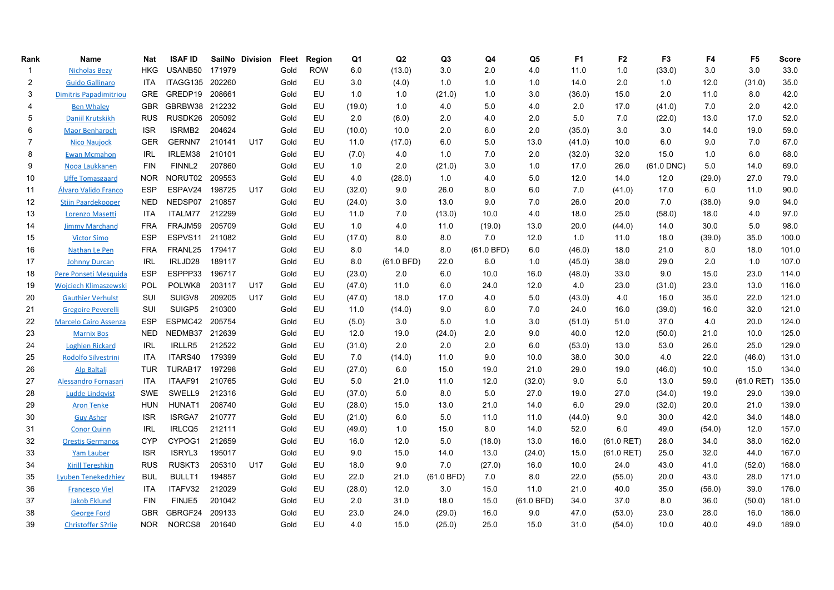| Rank | Name                          | <b>Nat</b> | <b>ISAF ID</b>     |        | SailNo Division | Fleet | Region     | Q1     | Q <sub>2</sub> | Q <sub>3</sub> | Q4         | Q <sub>5</sub> | F <sub>1</sub> | F <sub>2</sub> | F <sub>3</sub> | F4     | F <sub>5</sub> | Score |
|------|-------------------------------|------------|--------------------|--------|-----------------|-------|------------|--------|----------------|----------------|------------|----------------|----------------|----------------|----------------|--------|----------------|-------|
| -1   | <b>Nicholas Bezy</b>          | <b>HKG</b> | USANB50            | 171979 |                 | Gold  | <b>ROW</b> | 6.0    | (13.0)         | 3.0            | 2.0        | 4.0            | 11.0           | 1.0            | (33.0)         | 3.0    | 3.0            | 33.0  |
| 2    | <b>Guido Gallinaro</b>        | ITA        | ITAGG135           | 202260 |                 | Gold  | <b>EU</b>  | 3.0    | (4.0)          | 1.0            | 1.0        | 1.0            | 14.0           | 2.0            | 1.0            | 12.0   | (31.0)         | 35.0  |
| 3    | <b>Dimitris Papadimitriou</b> | <b>GRE</b> | GREDP19            | 208661 |                 | Gold  | <b>EU</b>  | 1.0    | 1.0            | (21.0)         | 1.0        | 3.0            | (36.0)         | 15.0           | 2.0            | 11.0   | 8.0            | 42.0  |
| 4    | <b>Ben Whaley</b>             | <b>GBR</b> | GBRBW38 212232     |        |                 | Gold  | EU         | (19.0) | 1.0            | 4.0            | 5.0        | 4.0            | 2.0            | 17.0           | (41.0)         | 7.0    | 2.0            | 42.0  |
| 5    | <b>Daniil Krutskikh</b>       | <b>RUS</b> | RUSDK26            | 205092 |                 | Gold  | EU         | 2.0    | (6.0)          | 2.0            | 4.0        | 2.0            | 5.0            | 7.0            | (22.0)         | 13.0   | 17.0           | 52.0  |
| 6    | <b>Maor Benharoch</b>         | <b>ISR</b> | ISRMB <sub>2</sub> | 204624 |                 | Gold  | EU         | (10.0) | 10.0           | 2.0            | 6.0        | 2.0            | (35.0)         | 3.0            | 3.0            | 14.0   | 19.0           | 59.0  |
| 7    | <b>Nico Naujock</b>           | <b>GER</b> | <b>GERNN7</b>      | 210141 | U17             | Gold  | EU         | 11.0   | (17.0)         | 6.0            | 5.0        | 13.0           | (41.0)         | 10.0           | 6.0            | 9.0    | 7.0            | 67.0  |
| 8    | <b>Ewan Mcmahon</b>           | <b>IRL</b> | IRLEM38            | 210101 |                 | Gold  | EU         | (7.0)  | 4.0            | 1.0            | 7.0        | 2.0            | (32.0)         | 32.0           | 15.0           | 1.0    | 6.0            | 68.0  |
| 9    | Nooa Laukkanen                | <b>FIN</b> | FINNL <sub>2</sub> | 207860 |                 | Gold  | <b>EU</b>  | 1.0    | 2.0            | (21.0)         | 3.0        | 1.0            | 17.0           | 26.0           | $(61.0$ DNC)   | 5.0    | 14.0           | 69.0  |
| 10   | <b>Uffe Tomasgaard</b>        | <b>NOR</b> | NORUT02            | 209553 |                 | Gold  | EU         | 4.0    | (28.0)         | 1.0            | 4.0        | 5.0            | 12.0           | 14.0           | 12.0           | (29.0) | 27.0           | 79.0  |
| 11   | Álvaro Valido Franco          | <b>ESP</b> | ESPAV24            | 198725 | U17             | Gold  | EU         | (32.0) | 9.0            | 26.0           | 8.0        | 6.0            | 7.0            | (41.0)         | 17.0           | 6.0    | 11.0           | 90.0  |
| 12   | <b>Stijn Paardekooper</b>     | <b>NED</b> | NEDSP07            | 210857 |                 | Gold  | EU         | (24.0) | 3.0            | 13.0           | 9.0        | 7.0            | 26.0           | 20.0           | 7.0            | (38.0) | 9.0            | 94.0  |
| 13   | Lorenzo Masetti               | ITA        | ITALM77            | 212299 |                 | Gold  | EU         | 11.0   | 7.0            | (13.0)         | 10.0       | 4.0            | 18.0           | 25.0           | (58.0)         | 18.0   | 4.0            | 97.0  |
| 14   | <b>Jimmy Marchand</b>         | <b>FRA</b> | FRAJM59            | 205709 |                 | Gold  | EU         | 1.0    | 4.0            | 11.0           | (19.0)     | 13.0           | 20.0           | (44.0)         | 14.0           | 30.0   | 5.0            | 98.0  |
| 15   | <b>Victor Simo</b>            | <b>ESP</b> | ESPVS11            | 211082 |                 | Gold  | EU         | (17.0) | 8.0            | 8.0            | 7.0        | 12.0           | 1.0            | 11.0           | 18.0           | (39.0) | 35.0           | 100.0 |
| 16   | Nathan Le Pen                 | <b>FRA</b> | FRANL25            | 179417 |                 | Gold  | EU         | 8.0    | 14.0           | 8.0            | (61.0 BFD) | 6.0            | (46.0)         | 18.0           | 21.0           | 8.0    | 18.0           | 101.0 |
| 17   | <b>Johnny Durcan</b>          | <b>IRL</b> | IRLJD28            | 189117 |                 | Gold  | EU         | 8.0    | (61.0 BFD)     | 22.0           | 6.0        | 1.0            | (45.0)         | 38.0           | 29.0           | 2.0    | 1.0            | 107.0 |
| 18   | Pere Ponseti Mesquida         | <b>ESP</b> | ESPPP33            | 196717 |                 | Gold  | EU         | (23.0) | 2.0            | 6.0            | 10.0       | 16.0           | (48.0)         | 33.0           | 9.0            | 15.0   | 23.0           | 114.0 |
| 19   | <b>Wojciech Klimaszewski</b>  | POL        | POLWK8             | 203117 | U17             | Gold  | EU         | (47.0) | 11.0           | 6.0            | 24.0       | 12.0           | 4.0            | 23.0           | (31.0)         | 23.0   | 13.0           | 116.0 |
| 20   | <b>Gauthier Verhulst</b>      | SUI        | SUIGV8             | 209205 | U17             | Gold  | EU         | (47.0) | 18.0           | 17.0           | 4.0        | 5.0            | (43.0)         | 4.0            | 16.0           | 35.0   | 22.0           | 121.0 |
| 21   | <b>Gregoire Peverelli</b>     | SUI        | SUIGP5             | 210300 |                 | Gold  | EU         | 11.0   | (14.0)         | 9.0            | 6.0        | 7.0            | 24.0           | 16.0           | (39.0)         | 16.0   | 32.0           | 121.0 |
| 22   | <b>Marcelo Cairo Assenza</b>  | <b>ESP</b> | ESPMC42            | 205754 |                 | Gold  | EU         | (5.0)  | 3.0            | 5.0            | 1.0        | 3.0            | (51.0)         | 51.0           | 37.0           | 4.0    | 20.0           | 124.0 |
| 23   | <b>Marnix Bos</b>             | <b>NED</b> | NEDMB37            | 212639 |                 | Gold  | EU         | 12.0   | 19.0           | (24.0)         | 2.0        | 9.0            | 40.0           | 12.0           | (50.0)         | 21.0   | 10.0           | 125.0 |
| 24   | <b>Loghlen Rickard</b>        | <b>IRL</b> | IRLLR5             | 212522 |                 | Gold  | EU         | (31.0) | 2.0            | 2.0            | 2.0        | 6.0            | (53.0)         | 13.0           | 53.0           | 26.0   | 25.0           | 129.0 |
| 25   | Rodolfo Silvestrini           | <b>ITA</b> | ITARS40            | 179399 |                 | Gold  | EU         | 7.0    | (14.0)         | 11.0           | 9.0        | 10.0           | 38.0           | 30.0           | 4.0            | 22.0   | (46.0)         | 131.0 |
| 26   | <b>Alp Baltali</b>            | <b>TUR</b> | TURAB17            | 197298 |                 | Gold  | EU         | (27.0) | 6.0            | 15.0           | 19.0       | 21.0           | 29.0           | 19.0           | (46.0)         | 10.0   | 15.0           | 134.0 |
| 27   | Alessandro Fornasari          | ITA        | ITAAF91            | 210765 |                 | Gold  | EU         | 5.0    | 21.0           | 11.0           | 12.0       | (32.0)         | 9.0            | 5.0            | 13.0           | 59.0   | $(61.0$ RET)   | 135.0 |
| 28   | <b>Ludde Lindgvist</b>        | <b>SWE</b> | SWELL9             | 212316 |                 | Gold  | EU         | (37.0) | 5.0            | 8.0            | 5.0        | 27.0           | 19.0           | 27.0           | (34.0)         | 19.0   | 29.0           | 139.0 |
| 29   | <b>Aron Tenke</b>             | HUN        | HUNAT1             | 208740 |                 | Gold  | EU         | (28.0) | 15.0           | 13.0           | 21.0       | 14.0           | 6.0            | 29.0           | (32.0)         | 20.0   | 21.0           | 139.0 |
| 30   | <b>Guy Asher</b>              | <b>ISR</b> | <b>ISRGA7</b>      | 210777 |                 | Gold  | EU         | (21.0) | 6.0            | 5.0            | 11.0       | 11.0           | (44.0)         | 9.0            | 30.0           | 42.0   | 34.0           | 148.0 |
| 31   | <b>Conor Quinn</b>            | <b>IRL</b> | IRLCQ5             | 212111 |                 | Gold  | EU         | (49.0) | 1.0            | 15.0           | 8.0        | 14.0           | 52.0           | 6.0            | 49.0           | (54.0) | 12.0           | 157.0 |
| 32   | <b>Orestis Germanos</b>       | <b>CYP</b> | CYPOG1             | 212659 |                 | Gold  | EU         | 16.0   | 12.0           | 5.0            | (18.0)     | 13.0           | 16.0           | $(61.0$ RET)   | 28.0           | 34.0   | 38.0           | 162.0 |
| 33   | <b>Yam Lauber</b>             | <b>ISR</b> | ISRYL3             | 195017 |                 | Gold  | EU         | 9.0    | 15.0           | 14.0           | 13.0       | (24.0)         | 15.0           | $(61.0$ RET)   | 25.0           | 32.0   | 44.0           | 167.0 |
| 34   | <b>Kirill Tereshkin</b>       | <b>RUS</b> | RUSKT3             | 205310 | U17             | Gold  | EU         | 18.0   | 9.0            | 7.0            | (27.0)     | 16.0           | 10.0           | 24.0           | 43.0           | 41.0   | (52.0)         | 168.0 |
| 35   | <b>Lyuben Tenekedzhiev</b>    | <b>BUL</b> | <b>BULLT1</b>      | 194857 |                 | Gold  | EU         | 22.0   | 21.0           | (61.0 BFD)     | 7.0        | 8.0            | 22.0           | (55.0)         | 20.0           | 43.0   | 28.0           | 171.0 |
| 36   | <b>Francesco Viel</b>         | ITA        | ITAFV32            | 212029 |                 | Gold  | EU         | (28.0) | 12.0           | 3.0            | 15.0       | 11.0           | 21.0           | 40.0           | 35.0           | (56.0) | 39.0           | 176.0 |
| 37   | <b>Jakob Eklund</b>           | <b>FIN</b> | FINJE5             | 201042 |                 | Gold  | EU         | 2.0    | 31.0           | 18.0           | 15.0       | (61.0 BFD)     | 34.0           | 37.0           | 8.0            | 36.0   | (50.0)         | 181.0 |
| 38   | <b>George Ford</b>            | <b>GBR</b> | GBRGF24            | 209133 |                 | Gold  | EU         | 23.0   | 24.0           | (29.0)         | 16.0       | 9.0            | 47.0           | (53.0)         | 23.0           | 28.0   | 16.0           | 186.0 |
| 39   | <b>Christoffer S?rlie</b>     | <b>NOR</b> | NORCS8             | 201640 |                 | Gold  | EU         | 4.0    | 15.0           | (25.0)         | 25.0       | 15.0           | 31.0           | (54.0)         | 10.0           | 40.0   | 49.0           | 189.0 |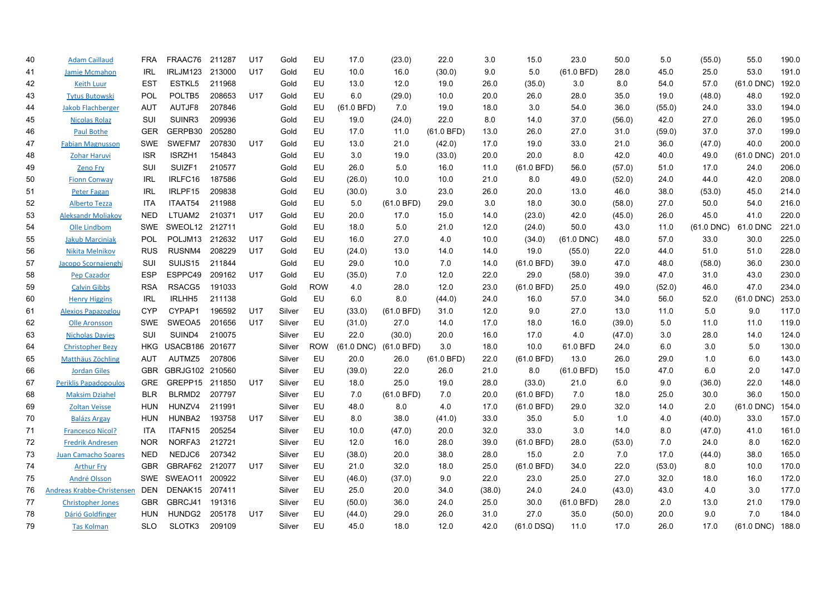| 40 | <b>Adam Caillaud</b>         | <b>FRA</b> | FRAAC76            | 211287 | U17             | Gold   | EU         | 17.0       | (23.0)     | 22.0       | 3.0    | 15.0         | 23.0         | 50.0   | 5.0    | (55.0)       | 55.0         | 190.0 |
|----|------------------------------|------------|--------------------|--------|-----------------|--------|------------|------------|------------|------------|--------|--------------|--------------|--------|--------|--------------|--------------|-------|
| 41 | <b>Jamie Mcmahon</b>         | <b>IRL</b> | IRLJM123           | 213000 | U17             | Gold   | EU         | 10.0       | 16.0       | (30.0)     | 9.0    | 5.0          | (61.0 BFD)   | 28.0   | 45.0   | 25.0         | 53.0         | 191.0 |
| 42 | <b>Keith Luur</b>            | <b>EST</b> | ESTKL5             | 211968 |                 | Gold   | EU         | 13.0       | 12.0       | 19.0       | 26.0   | (35.0)       | 3.0          | 8.0    | 54.0   | 57.0         | $(61.0$ DNC) | 192.0 |
| 43 | <b>Tytus Butowski</b>        | POL        | POLTB5             | 208653 | U17             | Gold   | EU         | 6.0        | (29.0)     | 10.0       | 20.0   | 26.0         | 28.0         | 35.0   | 19.0   | (48.0)       | 48.0         | 192.0 |
| 44 | <b>Jakob Flachberger</b>     | <b>AUT</b> | AUTJF8             | 207846 |                 | Gold   | EU         | (61.0 BFD) | 7.0        | 19.0       | 18.0   | 3.0          | 54.0         | 36.0   | (55.0) | 24.0         | 33.0         | 194.0 |
| 45 | <b>Nicolas Rolaz</b>         | SUI        | SUINR3             | 209936 |                 | Gold   | EU         | 19.0       | (24.0)     | 22.0       | 8.0    | 14.0         | 37.0         | (56.0) | 42.0   | 27.0         | 26.0         | 195.0 |
| 46 | <b>Paul Bothe</b>            | <b>GER</b> | GERPB30            | 205280 |                 | Gold   | EU         | 17.0       | 11.0       | (61.0 BFD) | 13.0   | 26.0         | 27.0         | 31.0   | (59.0) | 37.0         | 37.0         | 199.0 |
| 47 | <b>Fabian Magnusson</b>      | <b>SWE</b> | SWEFM7             | 207830 | U17             | Gold   | EU         | 13.0       | 21.0       | (42.0)     | 17.0   | 19.0         | 33.0         | 21.0   | 36.0   | (47.0)       | 40.0         | 200.0 |
| 48 | <b>Zohar Haruvi</b>          | <b>ISR</b> | ISRZH1             | 154843 |                 | Gold   | EU         | 3.0        | 19.0       | (33.0)     | 20.0   | 20.0         | 8.0          | 42.0   | 40.0   | 49.0         | $(61.0$ DNC) | 201.0 |
| 49 | <b>Zeno Fry</b>              | SUI        | SUIZF1             | 210577 |                 | Gold   | EU         | 26.0       | 5.0        | 16.0       | 11.0   | (61.0 BFD)   | 56.0         | (57.0) | 51.0   | 17.0         | 24.0         | 206.0 |
| 50 | <b>Fionn Conway</b>          | <b>IRL</b> | IRLFC16            | 187586 |                 | Gold   | EU         | (26.0)     | 10.0       | 10.0       | 21.0   | 8.0          | 49.0         | (52.0) | 24.0   | 44.0         | 42.0         | 208.0 |
| 51 | <b>Peter Fagan</b>           | <b>IRL</b> | IRLPF15            | 209838 |                 | Gold   | EU         | (30.0)     | 3.0        | 23.0       | 26.0   | 20.0         | 13.0         | 46.0   | 38.0   | (53.0)       | 45.0         | 214.0 |
| 52 | <b>Alberto Tezza</b>         | ITA        | ITAAT54            | 211988 |                 | Gold   | EU         | 5.0        | (61.0 BFD) | 29.0       | 3.0    | 18.0         | 30.0         | (58.0) | 27.0   | 50.0         | 54.0         | 216.0 |
| 53 | <b>Aleksandr Moliakov</b>    | <b>NED</b> | LTUAM2             | 210371 | U17             | Gold   | EU         | 20.0       | 17.0       | 15.0       | 14.0   | (23.0)       | 42.0         | (45.0) | 26.0   | 45.0         | 41.0         | 220.0 |
| 54 | Olle Lindbom                 | <b>SWE</b> | SWEOL12            | 212711 |                 | Gold   | EU         | 18.0       | 5.0        | 21.0       | 12.0   | (24.0)       | 50.0         | 43.0   | 11.0   | $(61.0$ DNC) | 61.0 DNC     | 221.0 |
| 55 | <b>Jakub Marciniak</b>       | <b>POL</b> | POLJM13            | 212632 | U17             | Gold   | EU         | 16.0       | 27.0       | 4.0        | 10.0   | (34.0)       | $(61.0$ DNC) | 48.0   | 57.0   | 33.0         | 30.0         | 225.0 |
| 56 | Nikita Melnikov              | <b>RUS</b> | RUSNM4             | 208229 | U17             | Gold   | EU         | (24.0)     | 13.0       | 14.0       | 14.0   | 19.0         | (55.0)       | 22.0   | 44.0   | 51.0         | 51.0         | 228.0 |
| 57 | Jacopo Scornaienghi          | SUI        | SUIJS15            | 211844 |                 | Gold   | EU         | 29.0       | 10.0       | 7.0        | 14.0   | (61.0 BFD)   | 39.0         | 47.0   | 48.0   | (58.0)       | 36.0         | 230.0 |
| 58 | <b>Pep Cazador</b>           | <b>ESP</b> | ESPPC49            | 209162 | U17             | Gold   | EU         | (35.0)     | 7.0        | 12.0       | 22.0   | 29.0         | (58.0)       | 39.0   | 47.0   | 31.0         | 43.0         | 230.0 |
| 59 | <b>Calvin Gibbs</b>          | <b>RSA</b> | RSACG5             | 191033 |                 | Gold   | <b>ROW</b> | 4.0        | 28.0       | 12.0       | 23.0   | (61.0 BFD)   | 25.0         | 49.0   | (52.0) | 46.0         | 47.0         | 234.0 |
| 60 | <b>Henry Higgins</b>         | <b>IRL</b> | IRLHH <sub>5</sub> | 211138 |                 | Gold   | EU         | 6.0        | 8.0        | (44.0)     | 24.0   | 16.0         | 57.0         | 34.0   | 56.0   | 52.0         | (61.0 DNC)   | 253.0 |
| 61 | <b>Alexios Papazoglou</b>    | <b>CYP</b> | CYPAP1             | 196592 | U17             | Silver | EU         | (33.0)     | (61.0 BFD) | 31.0       | 12.0   | 9.0          | 27.0         | 13.0   | 11.0   | 5.0          | 9.0          | 117.0 |
| 62 | <b>Olle Aronsson</b>         | <b>SWE</b> | SWEOA5             | 201656 | U17             | Silver | EU         | (31.0)     | 27.0       | 14.0       | 17.0   | 18.0         | 16.0         | (39.0) | 5.0    | 11.0         | 11.0         | 119.0 |
| 63 | <b>Nicholas Davies</b>       | SUI        | SUIND4             | 210075 |                 | Silver | EU         | 22.0       | (30.0)     | 20.0       | 16.0   | 17.0         | 4.0          | (47.0) | 3.0    | 28.0         | 14.0         | 124.0 |
| 64 | <b>Christopher Bezy</b>      | <b>HKG</b> | USACB186 201677    |        |                 | Silver | <b>ROW</b> | (61.0 DNC) | (61.0 BFD) | 3.0        | 18.0   | 10.0         | 61.0 BFD     | 24.0   | 6.0    | 3.0          | 5.0          | 130.0 |
| 65 | Matthäus Zöchling            | AUT        | AUTMZ5             | 207806 |                 | Silver | EU         | 20.0       | 26.0       | (61.0 BFD) | 22.0   | (61.0 BFD)   | 13.0         | 26.0   | 29.0   | 1.0          | 6.0          | 143.0 |
| 66 | <b>Jordan Giles</b>          | <b>GBR</b> | GBRJG102 210560    |        |                 | Silver | EU         | (39.0)     | 22.0       | 26.0       | 21.0   | 8.0          | (61.0 BFD)   | 15.0   | 47.0   | 6.0          | 2.0          | 147.0 |
| 67 | <b>Periklis Papadopoulos</b> | GRE        | GREPP15 211850     |        | U17             | Silver | EU         | 18.0       | 25.0       | 19.0       | 28.0   | (33.0)       | 21.0         | 6.0    | 9.0    | (36.0)       | 22.0         | 148.0 |
| 68 | <b>Maksim Dziahel</b>        | <b>BLR</b> | BLRMD2             | 207797 |                 | Silver | EU         | 7.0        | (61.0 BFD) | 7.0        | 20.0   | (61.0 BFD)   | 7.0          | 18.0   | 25.0   | 30.0         | 36.0         | 150.0 |
| 69 | <b>Zoltan Veisse</b>         | <b>HUN</b> | HUNZV4             | 211991 |                 | Silver | EU         | 48.0       | 8.0        | 4.0        | 17.0   | (61.0 BFD)   | 29.0         | 32.0   | 14.0   | 2.0          | $(61.0$ DNC) | 154.0 |
| 70 | <b>Balázs Argav</b>          | <b>HUN</b> | HUNBA2             | 193758 | U <sub>17</sub> | Silver | EU         | 8.0        | 38.0       | (41.0)     | 33.0   | 35.0         | 5.0          | 1.0    | 4.0    | (40.0)       | 33.0         | 157.0 |
| 71 | <b>Francesco Nicol?</b>      | ITA        | ITAFN15            | 205254 |                 | Silver | EU         | 10.0       | (47.0)     | 20.0       | 32.0   | 33.0         | 3.0          | 14.0   | 8.0    | (47.0)       | 41.0         | 161.0 |
| 72 | <b>Fredrik Andresen</b>      | <b>NOR</b> | NORFA3             | 212721 |                 | Silver | EU         | 12.0       | 16.0       | 28.0       | 39.0   | (61.0 BFD)   | 28.0         | (53.0) | 7.0    | 24.0         | 8.0          | 162.0 |
| 73 | <b>Juan Camacho Soares</b>   | <b>NED</b> | NEDJC6             | 207342 |                 | Silver | EU         | (38.0)     | 20.0       | 38.0       | 28.0   | 15.0         | 2.0          | 7.0    | 17.0   | (44.0)       | 38.0         | 165.0 |
| 74 | <b>Arthur Fry</b>            | <b>GBR</b> | GBRAF62            | 212077 | U17             | Silver | EU         | 21.0       | 32.0       | 18.0       | 25.0   | (61.0 BFD)   | 34.0         | 22.0   | (53.0) | 8.0          | 10.0         | 170.0 |
| 75 | <b>André Olsson</b>          | <b>SWE</b> | SWEAO11            | 200922 |                 | Silver | EU         | (46.0)     | (37.0)     | 9.0        | 22.0   | 23.0         | 25.0         | 27.0   | 32.0   | 18.0         | 16.0         | 172.0 |
| 76 | Andreas Krabbe-Christensen   | <b>DEN</b> | DENAK15            | 207411 |                 | Silver | EU         | 25.0       | 20.0       | 34.0       | (38.0) | 24.0         | 24.0         | (43.0) | 43.0   | 4.0          | 3.0          | 177.0 |
| 77 | <b>Christopher Jones</b>     | <b>GBR</b> | GBRCJ41            | 191316 |                 | Silver | EU         | (50.0)     | 36.0       | 24.0       | 25.0   | 30.0         | (61.0 BFD)   | 28.0   | 2.0    | 13.0         | 21.0         | 179.0 |
| 78 | Dárió Goldfinger             | <b>HUN</b> | HUNDG2             | 205178 | U17             | Silver | EU         | (44.0)     | 29.0       | 26.0       | 31.0   | 27.0         | 35.0         | (50.0) | 20.0   | 9.0          | 7.0          | 184.0 |
| 79 | <b>Tas Kolman</b>            | <b>SLO</b> | SLOTK3             | 209109 |                 | Silver | EU         | 45.0       | 18.0       | 12.0       | 42.0   | $(61.0$ DSQ) | 11.0         | 17.0   | 26.0   | 17.0         | $(61.0$ DNC) | 188.0 |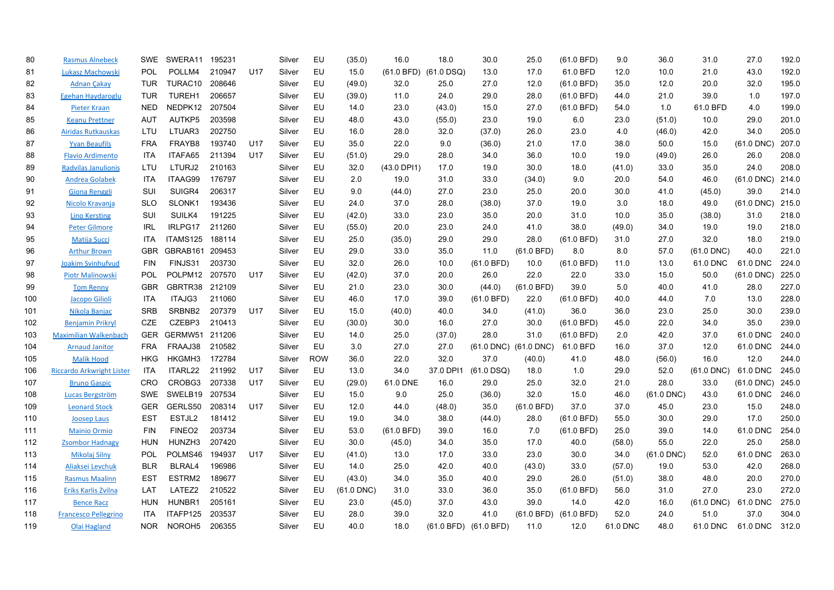| 80  | <b>Rasmus Alnebeck</b>           | <b>SWE</b> | SWERA11            | 195231 |                 | Silver | EU         | (35.0)       | 16.0                  | 18.0      | 30.0                  | 25.0         | (61.0 BFD) | 9.0      | 36.0         | 31.0         | 27.0         | 192.0 |
|-----|----------------------------------|------------|--------------------|--------|-----------------|--------|------------|--------------|-----------------------|-----------|-----------------------|--------------|------------|----------|--------------|--------------|--------------|-------|
| 81  | Lukasz Machowski                 | POL        | POLLM4             | 210947 | U <sub>17</sub> | Silver | EU         | 15.0         | (61.0 BFD) (61.0 DSQ) |           | 13.0                  | 17.0         | 61.0 BFD   | 12.0     | 10.0         | 21.0         | 43.0         | 192.0 |
| 82  | <b>Adnan Çakay</b>               | <b>TUR</b> | TURAC10            | 208646 |                 | Silver | EU         | (49.0)       | 32.0                  | 25.0      | 27.0                  | 12.0         | (61.0 BFD) | 35.0     | 12.0         | 20.0         | 32.0         | 195.0 |
| 83  | Egehan Haydaroglu                | <b>TUR</b> | TUREH1             | 206657 |                 | Silver | EU         | (39.0)       | 11.0                  | 24.0      | 29.0                  | 28.0         | (61.0 BFD) | 44.0     | 21.0         | 39.0         | 1.0          | 197.0 |
| 84  | <b>Pieter Kraan</b>              | <b>NED</b> | NEDPK12            | 207504 |                 | Silver | EU         | 14.0         | 23.0                  | (43.0)    | 15.0                  | 27.0         | (61.0 BFD) | 54.0     | 1.0          | 61.0 BFD     | 4.0          | 199.0 |
| 85  | <b>Keanu Prettner</b>            | <b>AUT</b> | AUTKP5             | 203598 |                 | Silver | EU         | 48.0         | 43.0                  | (55.0)    | 23.0                  | 19.0         | 6.0        | 23.0     | (51.0)       | 10.0         | 29.0         | 201.0 |
| 86  | Airidas Rutkauskas               | LTU        | LTUAR3             | 202750 |                 | Silver | EU         | 16.0         | 28.0                  | 32.0      | (37.0)                | 26.0         | 23.0       | 4.0      | (46.0)       | 42.0         | 34.0         | 205.0 |
| 87  | <b>Yvan Beaufils</b>             | <b>FRA</b> | FRAYB8             | 193740 | U17             | Silver | EU         | 35.0         | 22.0                  | 9.0       | (36.0)                | 21.0         | 17.0       | 38.0     | 50.0         | 15.0         | $(61.0$ DNC) | 207.0 |
| 88  | <b>Flavio Ardimento</b>          | <b>ITA</b> | ITAFA65            | 211394 | U17             | Silver | EU         | (51.0)       | 29.0                  | 28.0      | 34.0                  | 36.0         | 10.0       | 19.0     | (49.0)       | 26.0         | 26.0         | 208.0 |
| 89  | <b>Radvilas Janulionis</b>       | <b>LTU</b> | LTURJ2             | 210163 |                 | Silver | EU         | 32.0         | (43.0 DPI1)           | 17.0      | 19.0                  | 30.0         | 18.0       | (41.0)   | 33.0         | 35.0         | 24.0         | 208.0 |
| 90  | <b>Andrea Golabek</b>            | ITA        | ITAAG99            | 176797 |                 | Silver | EU         | 2.0          | 19.0                  | 31.0      | 33.0                  | (34.0)       | 9.0        | 20.0     | 54.0         | 46.0         | $(61.0$ DNC) | 214.0 |
| 91  | <b>Giona Renggli</b>             | SUI        | SUIGR4             | 206317 |                 | Silver | EU         | 9.0          | (44.0)                | 27.0      | 23.0                  | 25.0         | 20.0       | 30.0     | 41.0         | (45.0)       | 39.0         | 214.0 |
| 92  | Nicolo Kravanja                  | <b>SLO</b> | SLONK1             | 193436 |                 | Silver | EU         | 24.0         | 37.0                  | 28.0      | (38.0)                | 37.0         | 19.0       | 3.0      | 18.0         | 49.0         | $(61.0$ DNC) | 215.0 |
| 93  | <b>Lino Kersting</b>             | SUI        | SUILK4             | 191225 |                 | Silver | EU         | (42.0)       | 33.0                  | 23.0      | 35.0                  | 20.0         | 31.0       | 10.0     | 35.0         | (38.0)       | 31.0         | 218.0 |
| 94  | <b>Peter Gilmore</b>             | <b>IRL</b> | IRLPG17            | 211260 |                 | Silver | EU         | (55.0)       | 20.0                  | 23.0      | 24.0                  | 41.0         | 38.0       | (49.0)   | 34.0         | 19.0         | 19.0         | 218.0 |
| 95  | <b>Matija Succi</b>              | <b>ITA</b> | ITAMS125           | 188114 |                 | Silver | EU         | 25.0         | (35.0)                | 29.0      | 29.0                  | 28.0         | (61.0 BFD) | 31.0     | 27.0         | 32.0         | 18.0         | 219.0 |
| 96  | <b>Arthur Brown</b>              | <b>GBR</b> | GBRAB161           | 209453 |                 | Silver | EU         | 29.0         | 33.0                  | 35.0      | 11.0                  | (61.0 BFD)   | 8.0        | 8.0      | 57.0         | $(61.0$ DNC) | 40.0         | 221.0 |
| 97  | Joakim Svinhufvud                | <b>FIN</b> | FINJS31            | 203730 |                 | Silver | EU         | 32.0         | 26.0                  | 10.0      | (61.0 BFD)            | 10.0         | (61.0 BFD) | 11.0     | 13.0         | 61.0 DNC     | 61.0 DNC     | 224.0 |
| 98  | <b>Piotr Malinowski</b>          | <b>POL</b> | POLPM12            | 207570 | U17             | Silver | EU         | (42.0)       | 37.0                  | 20.0      | 26.0                  | 22.0         | 22.0       | 33.0     | 15.0         | 50.0         | $(61.0$ DNC) | 225.0 |
| 99  | <b>Tom Renny</b>                 | <b>GBR</b> | GBRTR38            | 212109 |                 | Silver | EU         | 21.0         | 23.0                  | 30.0      | (44.0)                | (61.0 BFD)   | 39.0       | 5.0      | 40.0         | 41.0         | 28.0         | 227.0 |
| 100 | Jacopo Gilioli                   | <b>ITA</b> | ITAJG3             | 211060 |                 | Silver | EU         | 46.0         | 17.0                  | 39.0      | (61.0 BFD)            | 22.0         | (61.0 BFD) | 40.0     | 44.0         | 7.0          | 13.0         | 228.0 |
| 101 | Nikola Banjac                    | <b>SRB</b> | SRBNB2             | 207379 | U17             | Silver | EU         | 15.0         | (40.0)                | 40.0      | 34.0                  | (41.0)       | 36.0       | 36.0     | 23.0         | 25.0         | 30.0         | 239.0 |
| 102 | <b>Benjamin Prikryl</b>          | CZE        | CZEBP3             | 210413 |                 | Silver | EU         | (30.0)       | 30.0                  | 16.0      | 27.0                  | 30.0         | (61.0 BFD) | 45.0     | 22.0         | 34.0         | 35.0         | 239.0 |
| 103 | <b>Maximilian Walkenbach</b>     | <b>GER</b> | GERMW51            | 211206 |                 | Silver | EU         | 14.0         | 25.0                  | (37.0)    | 28.0                  | 31.0         | (61.0 BFD) | 2.0      | 42.0         | 37.0         | 61.0 DNC     | 240.0 |
| 104 | <b>Arnaud Janitor</b>            | <b>FRA</b> | FRAAJ38            | 210582 |                 | Silver | EU         | 3.0          | 27.0                  | 27.0      | $(61.0$ DNC)          | $(61.0$ DNC) | 61.0 BFD   | 16.0     | 37.0         | 12.0         | 61.0 DNC     | 244.0 |
| 105 | <b>Malik Hood</b>                | <b>HKG</b> | HKGMH3             | 172784 |                 | Silver | <b>ROW</b> | 36.0         | 22.0                  | 32.0      | 37.0                  | (40.0)       | 41.0       | 48.0     | (56.0)       | 16.0         | 12.0         | 244.0 |
| 106 | <b>Riccardo Arkwright Lister</b> | ITA        | ITARL22            | 211992 | U17             | Silver | EU         | 13.0         | 34.0                  | 37.0 DPI1 | $(61.0$ DSQ)          | 18.0         | 1.0        | 29.0     | 52.0         | $(61.0$ DNC) | 61.0 DNC     | 245.0 |
| 107 | <b>Bruno Gaspic</b>              | CRO        | CROBG3             | 207338 | U17             | Silver | EU         | (29.0)       | 61.0 DNE              | 16.0      | 29.0                  | 25.0         | 32.0       | 21.0     | 28.0         | 33.0         | $(61.0$ DNC) | 245.0 |
| 108 | Lucas Bergström                  | <b>SWE</b> | SWELB19            | 207534 |                 | Silver | EU         | 15.0         | 9.0                   | 25.0      | (36.0)                | 32.0         | 15.0       | 46.0     | $(61.0$ DNC) | 43.0         | 61.0 DNC     | 246.0 |
| 109 | <b>Leonard Stock</b>             | <b>GER</b> | GERLS50            | 208314 | U17             | Silver | EU         | 12.0         | 44.0                  | (48.0)    | 35.0                  | (61.0 BFD)   | 37.0       | 37.0     | 45.0         | 23.0         | 15.0         | 248.0 |
| 110 | <b>Joosep Laus</b>               | <b>EST</b> | ESTJL2             | 181412 |                 | Silver | EU         | 19.0         | 34.0                  | 38.0      | (44.0)                | 28.0         | (61.0 BFD) | 55.0     | 30.0         | 29.0         | 17.0         | 250.0 |
| 111 | <b>Mainio Ormio</b>              | <b>FIN</b> | FINEO <sub>2</sub> | 203734 |                 | Silver | EU         | 53.0         | (61.0 BFD)            | 39.0      | 16.0                  | 7.0          | (61.0 BFD) | 25.0     | 39.0         | 14.0         | 61.0 DNC     | 254.0 |
| 112 | <b>Zsombor Hadnagy</b>           | <b>HUN</b> | HUNZH <sub>3</sub> | 207420 |                 | Silver | EU         | 30.0         | (45.0)                | 34.0      | 35.0                  | 17.0         | 40.0       | (58.0)   | 55.0         | 22.0         | 25.0         | 258.0 |
| 113 | <b>Mikolaj Silny</b>             | <b>POL</b> | POLMS46            | 194937 | U17             | Silver | EU         | (41.0)       | 13.0                  | 17.0      | 33.0                  | 23.0         | 30.0       | 34.0     | $(61.0$ DNC) | 52.0         | 61.0 DNC     | 263.0 |
| 114 | Aliaksei Levchuk                 | <b>BLR</b> | BLRAL4             | 196986 |                 | Silver | EU         | 14.0         | 25.0                  | 42.0      | 40.0                  | (43.0)       | 33.0       | (57.0)   | 19.0         | 53.0         | 42.0         | 268.0 |
| 115 | <b>Rasmus Maalinn</b>            | EST        | ESTRM2             | 189677 |                 | Silver | EU         | (43.0)       | 34.0                  | 35.0      | 40.0                  | 29.0         | 26.0       | (51.0)   | 38.0         | 48.0         | 20.0         | 270.0 |
| 116 | Eriks Karlis Zvilna              | <b>LAT</b> | LATEZ2             | 210522 |                 | Silver | EU         | $(61.0$ DNC) | 31.0                  | 33.0      | 36.0                  | 35.0         | (61.0 BFD) | 56.0     | 31.0         | 27.0         | 23.0         | 272.0 |
| 117 | <b>Bence Racz</b>                | <b>HUN</b> | HUNBR1             | 205161 |                 | Silver | EU         | 23.0         | (45.0)                | 37.0      | 43.0                  | 39.0         | 14.0       | 42.0     | 16.0         | $(61.0$ DNC) | 61.0 DNC     | 275.0 |
| 118 | <b>Francesco Pellegrino</b>      | ITA        | ITAFP125           | 203537 |                 | Silver | EU         | 28.0         | 39.0                  | 32.0      | 41.0                  | (61.0 BFD)   | (61.0 BFD) | 52.0     | 24.0         | 51.0         | 37.0         | 304.0 |
| 119 | <b>Olai Hagland</b>              | NOR.       | NOROH <sub>5</sub> | 206355 |                 | Silver | EU         | 40.0         | 18.0                  |           | (61.0 BFD) (61.0 BFD) | 11.0         | 12.0       | 61.0 DNC | 48.0         | 61.0 DNC     | 61.0 DNC     | 312.0 |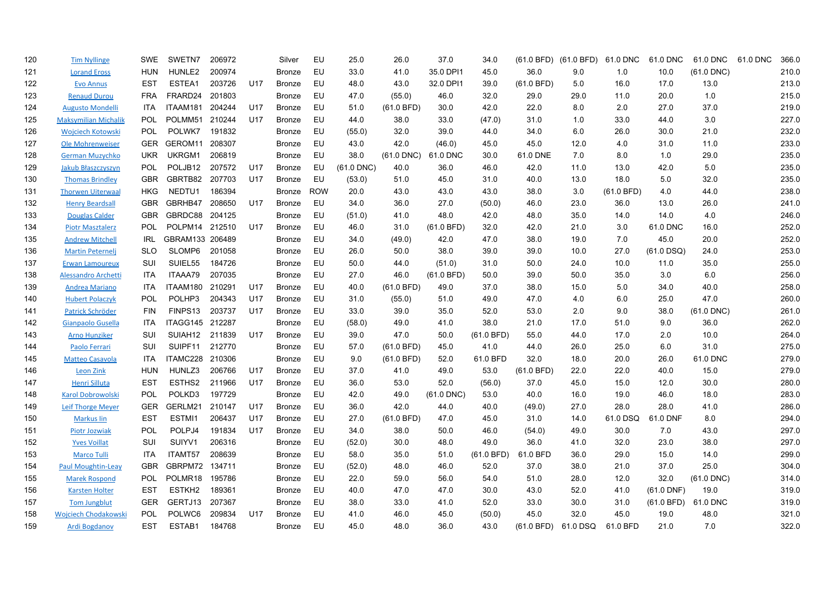| 120 | <b>Tim Nyllinge</b>         | <b>SWE</b> | SWETN7              | 206972 |     | Silver        | EU         | 25.0         | 26.0            | 37.0         | 34.0       |            | (61.0 BFD) (61.0 BFD) 61.0 DNC |            | 61.0 DNC     | 61.0 DNC     | 61.0 DNC | 366.0 |
|-----|-----------------------------|------------|---------------------|--------|-----|---------------|------------|--------------|-----------------|--------------|------------|------------|--------------------------------|------------|--------------|--------------|----------|-------|
| 121 | <b>Lorand Eross</b>         | <b>HUN</b> | HUNLE2              | 200974 |     | Bronze        | EU         | 33.0         | 41.0            | 35.0 DPI1    | 45.0       | 36.0       | 9.0                            | 1.0        | 10.0         | $(61.0$ DNC) |          | 210.0 |
| 122 | <b>Evo Annus</b>            | EST        | ESTEA1              | 203726 | U17 | <b>Bronze</b> | EU         | 48.0         | 43.0            | 32.0 DPI1    | 39.0       | (61.0 BFD) | 5.0                            | 16.0       | 17.0         | 13.0         |          | 213.0 |
| 123 | <b>Renaud Durou</b>         | <b>FRA</b> | FRARD24             | 201803 |     | Bronze        | EU         | 47.0         | (55.0)          | 46.0         | 32.0       | 29.0       | 29.0                           | 11.0       | 20.0         | 1.0          |          | 215.0 |
| 124 | <b>Augusto Mondelli</b>     | <b>ITA</b> | ITAAM181            | 204244 | U17 | <b>Bronze</b> | EU         | 51.0         | (61.0 BFD)      | 30.0         | 42.0       | 22.0       | 8.0                            | 2.0        | 27.0         | 37.0         |          | 219.0 |
| 125 | <b>Maksymilian Michalik</b> | <b>POL</b> | POLMM51             | 210244 | U17 | Bronze        | EU         | 44.0         | 38.0            | 33.0         | (47.0)     | 31.0       | 1.0                            | 33.0       | 44.0         | 3.0          |          | 227.0 |
| 126 | <b>Wojciech Kotowski</b>    | <b>POL</b> | POLWK7              | 191832 |     | Bronze        | EU         | (55.0)       | 32.0            | 39.0         | 44.0       | 34.0       | 6.0                            | 26.0       | 30.0         | 21.0         |          | 232.0 |
| 127 | <b>Ole Mohrenweiser</b>     | <b>GER</b> | GEROM11             | 208307 |     | Bronze        | EU         | 43.0         | 42.0            | (46.0)       | 45.0       | 45.0       | 12.0                           | 4.0        | 31.0         | 11.0         |          | 233.0 |
| 128 | <b>German Muzychko</b>      | <b>UKR</b> | UKRGM1              | 206819 |     | <b>Bronze</b> | EU         | 38.0         | $(61.0$ DNC $)$ | 61.0 DNC     | 30.0       | 61.0 DNE   | 7.0                            | 8.0        | 1.0          | 29.0         |          | 235.0 |
| 129 | Jakub Błaszczyszyn          | POL        | POLJB12             | 207572 | U17 | Bronze        | EU         | $(61.0$ DNC) | 40.0            | 36.0         | 46.0       | 42.0       | 11.0                           | 13.0       | 42.0         | 5.0          |          | 235.0 |
| 130 | <b>Thomas Brindley</b>      | <b>GBR</b> | GBRTB82             | 207703 | U17 | Bronze        | EU         | (53.0)       | 51.0            | 45.0         | 31.0       | 40.0       | 13.0                           | 18.0       | 5.0          | 32.0         |          | 235.0 |
| 131 | <b>Thorwen Uiterwaal</b>    | <b>HKG</b> | NEDTU1              | 186394 |     | Bronze        | <b>ROW</b> | 20.0         | 43.0            | 43.0         | 43.0       | 38.0       | 3.0                            | (61.0 BFD) | 4.0          | 44.0         |          | 238.0 |
| 132 | <b>Henry Beardsall</b>      | <b>GBR</b> | GBRHB47             | 208650 | U17 | <b>Bronze</b> | <b>EU</b>  | 34.0         | 36.0            | 27.0         | (50.0)     | 46.0       | 23.0                           | 36.0       | 13.0         | 26.0         |          | 241.0 |
| 133 | <b>Douglas Calder</b>       | <b>GBR</b> | GBRDC88             | 204125 |     | Bronze        | EU         | (51.0)       | 41.0            | 48.0         | 42.0       | 48.0       | 35.0                           | 14.0       | 14.0         | 4.0          |          | 246.0 |
| 134 | <b>Piotr Masztalerz</b>     | <b>POL</b> | POLPM14 212510      |        | U17 | <b>Bronze</b> | EU         | 46.0         | 31.0            | (61.0 BFD)   | 32.0       | 42.0       | 21.0                           | 3.0        | 61.0 DNC     | 16.0         |          | 252.0 |
| 135 | <b>Andrew Mitchell</b>      | <b>IRL</b> | GBRAM133 206489     |        |     | Bronze        | EU         | 34.0         | (49.0)          | 42.0         | 47.0       | 38.0       | 19.0                           | 7.0        | 45.0         | 20.0         |          | 252.0 |
| 136 | <b>Martin Peternelj</b>     | <b>SLO</b> | SLOMP6              | 201058 |     | Bronze        | EU         | 26.0         | 50.0            | 38.0         | 39.0       | 39.0       | 10.0                           | 27.0       | $(61.0$ DSQ) | 24.0         |          | 253.0 |
| 137 | <b>Erwan Lamoureux</b>      | SUI        | SUIEL55             | 184726 |     | Bronze        | EU         | 50.0         | 44.0            | (51.0)       | 31.0       | 50.0       | 24.0                           | 10.0       | 11.0         | 35.0         |          | 255.0 |
| 138 | <b>Alessandro Archetti</b>  | <b>ITA</b> | ITAAA79             | 207035 |     | Bronze        | EU         | 27.0         | 46.0            | (61.0 BFD)   | 50.0       | 39.0       | 50.0                           | 35.0       | 3.0          | 6.0          |          | 256.0 |
| 139 | <b>Andrea Mariano</b>       | <b>ITA</b> | ITAAM180 210291     |        | U17 | <b>Bronze</b> | EU         | 40.0         | (61.0 BFD)      | 49.0         | 37.0       | 38.0       | 15.0                           | 5.0        | 34.0         | 40.0         |          | 258.0 |
| 140 | <b>Hubert Polaczyk</b>      | POL        | POLHP3              | 204343 | U17 | <b>Bronze</b> | EU         | 31.0         | (55.0)          | 51.0         | 49.0       | 47.0       | 4.0                            | 6.0        | 25.0         | 47.0         |          | 260.0 |
| 141 | Patrick Schröder            | <b>FIN</b> | FINPS13             | 203737 | U17 | Bronze        | EU         | 33.0         | 39.0            | 35.0         | 52.0       | 53.0       | 2.0                            | 9.0        | 38.0         | $(61.0$ DNC) |          | 261.0 |
| 142 | Gianpaolo Gusella           | <b>ITA</b> | ITAGG145 212287     |        |     | Bronze        | EU         | (58.0)       | 49.0            | 41.0         | 38.0       | 21.0       | 17.0                           | 51.0       | 9.0          | 36.0         |          | 262.0 |
| 143 | <b>Arno Hunziker</b>        | <b>SUI</b> | SUIAH <sub>12</sub> | 211839 | U17 | <b>Bronze</b> | <b>EU</b>  | 39.0         | 47.0            | 50.0         | (61.0 BFD) | 55.0       | 44.0                           | 17.0       | 2.0          | 10.0         |          | 264.0 |
| 144 | Paolo Ferrari               | SUI        | SUIPF11             | 212770 |     | Bronze        | EU         | 57.0         | $(61.0$ BFD)    | 45.0         | 41.0       | 44.0       | 26.0                           | 25.0       | 6.0          | 31.0         |          | 275.0 |
| 145 | <b>Matteo Casavola</b>      | <b>ITA</b> | ITAMC228 210306     |        |     | Bronze        | EU         | 9.0          | (61.0 BFD)      | 52.0         | 61.0 BFD   | 32.0       | 18.0                           | 20.0       | 26.0         | 61.0 DNC     |          | 279.0 |
| 146 | <b>Leon Zink</b>            | <b>HUN</b> | HUNLZ3              | 206766 | U17 | Bronze        | EU         | 37.0         | 41.0            | 49.0         | 53.0       | (61.0 BFD) | 22.0                           | 22.0       | 40.0         | 15.0         |          | 279.0 |
| 147 | Henri Silluta               | <b>EST</b> | ESTHS2              | 211966 | U17 | Bronze        | EU         | 36.0         | 53.0            | 52.0         | (56.0)     | 37.0       | 45.0                           | 15.0       | 12.0         | 30.0         |          | 280.0 |
| 148 | <b>Karol Dobrowolski</b>    | POL        | POLKD3              | 197729 |     | Bronze        | EU         | 42.0         | 49.0            | $(61.0$ DNC) | 53.0       | 40.0       | 16.0                           | 19.0       | 46.0         | 18.0         |          | 283.0 |
| 149 | <b>Leif Thorge Meyer</b>    | <b>GER</b> | GERLM21             | 210147 | U17 | Bronze        | EU         | 36.0         | 42.0            | 44.0         | 40.0       | (49.0)     | 27.0                           | 28.0       | 28.0         | 41.0         |          | 286.0 |
| 150 | <b>Markus lin</b>           | <b>EST</b> | ESTMI1              | 206437 | U17 | Bronze        | EU         | 27.0         | (61.0 BFD)      | 47.0         | 45.0       | 31.0       | 14.0                           | 61.0 DSQ   | 61.0 DNF     | 8.0          |          | 294.0 |
| 151 | <b>Piotr Jozwiak</b>        | POL        | POLPJ4              | 191834 | U17 | Bronze        | EU         | 34.0         | 38.0            | 50.0         | 46.0       | (54.0)     | 49.0                           | 30.0       | 7.0          | 43.0         |          | 297.0 |
| 152 | <b>Yves Voillat</b>         | SUI        | SUIYV1              | 206316 |     | Bronze        | EU         | (52.0)       | 30.0            | 48.0         | 49.0       | 36.0       | 41.0                           | 32.0       | 23.0         | 38.0         |          | 297.0 |
| 153 | <b>Marco Tulli</b>          | <b>ITA</b> | ITAMT57             | 208639 |     | <b>Bronze</b> | EU         | 58.0         | 35.0            | 51.0         | (61.0 BFD) | 61.0 BFD   | 36.0                           | 29.0       | 15.0         | 14.0         |          | 299.0 |
| 154 | <b>Paul Moughtin-Leav</b>   | <b>GBR</b> | GBRPM72 134711      |        |     | Bronze        | EU         | (52.0)       | 48.0            | 46.0         | 52.0       | 37.0       | 38.0                           | 21.0       | 37.0         | 25.0         |          | 304.0 |
| 155 | <b>Marek Rospond</b>        | <b>POL</b> | POLMR18             | 195786 |     | Bronze        | EU         | 22.0         | 59.0            | 56.0         | 54.0       | 51.0       | 28.0                           | 12.0       | 32.0         | $(61.0$ DNC) |          | 314.0 |
| 156 | <b>Karsten Holter</b>       | EST        | ESTKH <sub>2</sub>  | 189361 |     | Bronze        | EU         | 40.0         | 47.0            | 47.0         | 30.0       | 43.0       | 52.0                           | 41.0       | $(61.0$ DNF) | 19.0         |          | 319.0 |
| 157 | <b>Tom Jungblut</b>         | <b>GER</b> | GERTJ13             | 207367 |     | <b>Bronze</b> | EU         | 38.0         | 33.0            | 41.0         | 52.0       | 33.0       | 30.0                           | 31.0       | (61.0 BFD)   | 61.0 DNC     |          | 319.0 |
| 158 | <b>Woiciech Chodakowski</b> | POL        | POLWC6              | 209834 | U17 | <b>Bronze</b> | EU         | 41.0         | 46.0            | 45.0         | (50.0)     | 45.0       | 32.0                           | 45.0       | 19.0         | 48.0         |          | 321.0 |
| 159 | <b>Ardi Bogdanov</b>        | EST        | ESTAB1              | 184768 |     | Bronze        | EU         | 45.0         | 48.0            | 36.0         | 43.0       | (61.0 BFD) | 61.0 DSQ                       | 61.0 BFD   | 21.0         | 7.0          |          | 322.0 |